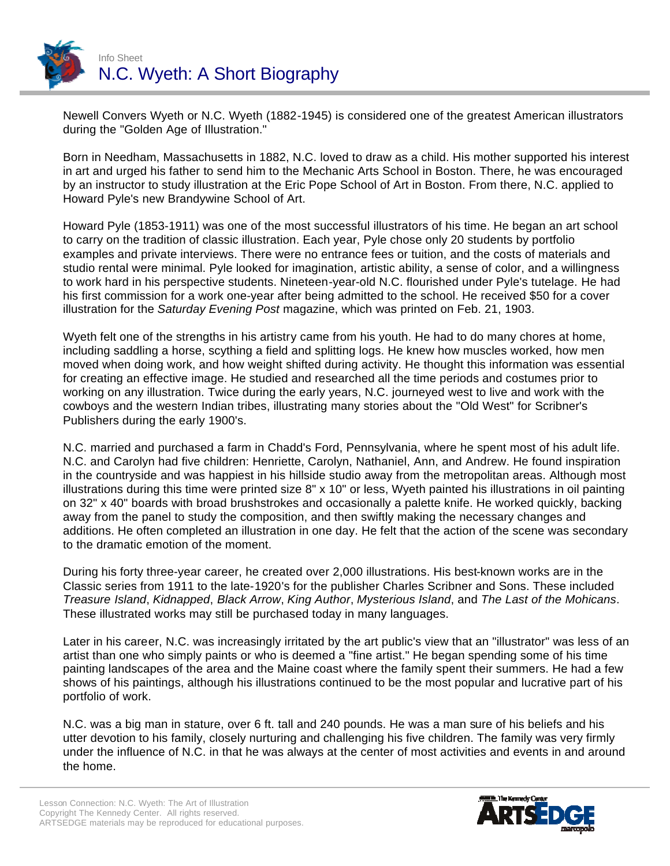

Newell Convers Wyeth or N.C. Wyeth (1882-1945) is considered one of the greatest American illustrators during the "Golden Age of Illustration."

Born in Needham, Massachusetts in 1882, N.C. loved to draw as a child. His mother supported his interest in art and urged his father to send him to the Mechanic Arts School in Boston. There, he was encouraged by an instructor to study illustration at the Eric Pope School of Art in Boston. From there, N.C. applied to Howard Pyle's new Brandywine School of Art.

Howard Pyle (1853-1911) was one of the most successful illustrators of his time. He began an art school to carry on the tradition of classic illustration. Each year, Pyle chose only 20 students by portfolio examples and private interviews. There were no entrance fees or tuition, and the costs of materials and studio rental were minimal. Pyle looked for imagination, artistic ability, a sense of color, and a willingness to work hard in his perspective students. Nineteen-year-old N.C. flourished under Pyle's tutelage. He had his first commission for a work one-year after being admitted to the school. He received \$50 for a cover illustration for the *Saturday Evening Post* magazine, which was printed on Feb. 21, 1903.

Wyeth felt one of the strengths in his artistry came from his youth. He had to do many chores at home, including saddling a horse, scything a field and splitting logs. He knew how muscles worked, how men moved when doing work, and how weight shifted during activity. He thought this information was essential for creating an effective image. He studied and researched all the time periods and costumes prior to working on any illustration. Twice during the early years, N.C. journeyed west to live and work with the cowboys and the western Indian tribes, illustrating many stories about the "Old West" for Scribner's Publishers during the early 1900's.

N.C. married and purchased a farm in Chadd's Ford, Pennsylvania, where he spent most of his adult life. N.C. and Carolyn had five children: Henriette, Carolyn, Nathaniel, Ann, and Andrew. He found inspiration in the countryside and was happiest in his hillside studio away from the metropolitan areas. Although most illustrations during this time were printed size 8" x 10" or less, Wyeth painted his illustrations in oil painting on 32" x 40" boards with broad brushstrokes and occasionally a palette knife. He worked quickly, backing away from the panel to study the composition, and then swiftly making the necessary changes and additions. He often completed an illustration in one day. He felt that the action of the scene was secondary to the dramatic emotion of the moment.

During his forty three-year career, he created over 2,000 illustrations. His best-known works are in the Classic series from 1911 to the late-1920's for the publisher Charles Scribner and Sons. These included *Treasure Island*, *Kidnapped*, *Black Arrow*, *King Author*, *Mysterious Island*, and *The Last of the Mohicans*. These illustrated works may still be purchased today in many languages.

Later in his career, N.C. was increasingly irritated by the art public's view that an "illustrator" was less of an artist than one who simply paints or who is deemed a "fine artist." He began spending some of his time painting landscapes of the area and the Maine coast where the family spent their summers. He had a few shows of his paintings, although his illustrations continued to be the most popular and lucrative part of his portfolio of work.

N.C. was a big man in stature, over 6 ft. tall and 240 pounds. He was a man sure of his beliefs and his utter devotion to his family, closely nurturing and challenging his five children. The family was very firmly under the influence of N.C. in that he was always at the center of most activities and events in and around the home.